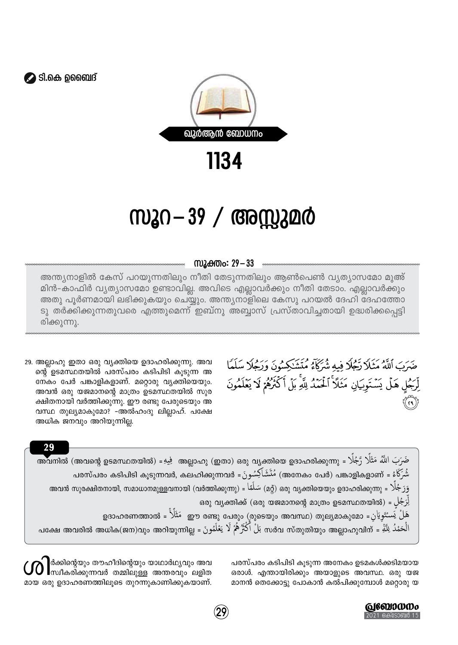



1134

## സൂറ—39 / അസ്സുമർ

## സ്രുക്തം: 29 – 33

അന്ത്യനാളിൽ കേസ് പറയുന്നതിലും നീതി തേടുന്നതിലും ആൺപെൺ വ്യത്യാസമോ മുഅ് മിൻ-കാഫിർ വ്യത്യാസമോ ഉണ്ടാവില്ല. അവിടെ എല്ലാവർക്കും നീതി തേടാം. എല്ലാവർക്കും അതു പൂർണമായി ലഭിക്കുകയും ചെയ്യും. അന്ത്യനാളിലെ കേസു പറയൽ ദേഹി ദേഹത്തോ ടു തർക്കിക്കുന്നതുവരെ എത്തുമെന്ന് ഇബ്നു അബ്ബാസ് പ്രസ്താവിച്ചതായി ഉദ്ധരിക്കപ്പെട്ടി രിക്കുന്നു.

29. അല്ലാഹു ഇതാ ഒരു വ്യക്തിയെ ഉദാഹരിക്കുന്നു. അവ ന്റെ ഉടമസ്ഥതയിൽ പരസ്പരം കടിപിടി കൂടുന്ന അ നേകം പേർ പങ്കാളികളാണ്. മറ്റൊരു വ്യക്തിയെയും. അവൻ ഒരു യജമാനന്റെ മാത്രം ഉടമസ്ഥതയിൽ സുര ക്ഷിതനായി വർത്തിക്കുന്നു. ഈ രണ്ടു പേരുടെയും അ വസ്ഥ തുല്യമാകുമോ? -അൽഹംദു ലില്ലാഹ്. പക്ഷേ അധിക ജനവും അറിയുന്നില്ല.

29

ضَرَبَ ٱللَّهُ مَثَلاً رَّجُلًا فيه شُرَكَاءُ مُتَشَرِّهُمُونَ وَرَجُلًا سَلَمًا لِّرَجُلِ هَلْ يَسۡتَوِيَانِ مَثَلاً ٱلۡحَمۡدُ لِلَّهِ بَلۡ أَكۡثَرُهُمۡ لَا يَعۡلَمُونَ

ضَرَبَ اللَّهُ مَثَلًا رَّجُلًا = അവനിൽ (അവന്റെ ഉടമസ്ഥതയിൽ) = فَبِيٍّ = (അല്ലാഹു (ഇതാ) ഒരു വ്യക്തിയെ ഉദാഹരിക്കുന്നു شُرَكَاءُ = (അനേകം പേരി) مُنَشَاكِسُونَ = പരസ്പരം കടിപിടി കൂടുന്നവർ, കലഹിക്കുന്നവർ = مُنْتَمَاكِسُونَ هَ رَجُلًا = (മര്) ഒരു വ്യക്തിയെറും ഉദാഹരിക്കുന്നു = (كَبُلَا = (താവൻ സുരക്ഷിതനായി, സമാധാനമുള്ളവനായി لِرَجُلِ = (ഒരു യജമാനന്റെ മാത്രം ഉടമസ്ഥതയിൽ, قلزجُلِ = (ഒരു യജമാനന്റെ മാത്രം ഉടമസ്ഥതയിൽ الْحَمْدُ لِلَّةِ = ന്തുതിയും അലാഹുവിന് = بَلْ اَكْثَرُ هُمْ لَا يَعْلَمُونَ = പക്ഷേ അവരിൽ അധിക(ജന)വും അറിയുന്നില്ല

> പരസ്പരം കടിപിടി കൂടുന്ന അനേകം ഉടമകൾക്കടിമയായ ഒരാൾ. എന്തായിരിക്കും അയാളുടെ അവസ്ഥ. ഒരു യജ മാനൻ തെക്കോട്ടു പോകാൻ കൽപിക്കുമ്പോൾ മറ്റൊരു യ

|ർക്കിന്റെയും തൗഹീദിന്റെയും യാഥാർഥ്യവും അവ സ്ഥീകരിക്കുന്നവർ തമ്മിലുള്ള അന്തരവും ലളിത മായ ഒരു ഉദാഹരണത്തിലൂടെ തുറന്നുകാണിക്കുകയാണ്.

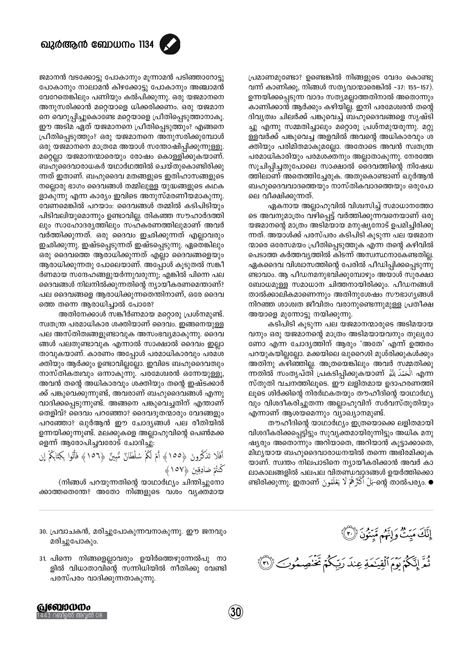

പ്രമാണമുണ്ടോ? ഉണ്ടെങ്കിൽ നിങ്ങളുടെ വേദം കൊണ്ടു വന്ന് കാണിക്കൂ, നിങ്ങൾ സത്യവാന്മാരെങ്കിൽ -37: 155-157). ഉന്നയിക്കപ്പെടുന്ന വാദം സത്യമല്ലാത്തതിനാൽ അതൊന്നും കാണിക്കാൻ ആർക്കും കഴിയില്ല. ഇനി പരമേശ്വരൻ തന്റെ ദിവ്യത്വം ചിലർക്ക് പങ്കുവെച്ച് ബഹുദൈവങ്ങളെ സൃഷ്ടി ച്ചു എന്നു സമ്മതിച്ചാലും മറ്റൊരു പ്രശ്നമുയരുന്നു. മറ്റു ള്ളവർക്ക് പങ്കുവെച്ച അളവിൽ അവന്റെ അധികാരവും ശ ക്തിയും പരിമിതമാകുമല്ലോ. അതോടെ അവൻ സ്വതന്ത്ര പരമാധികാരിയും പരമശക്തനും അല്ലാതാകുന്നു. നേരത്തേ സൂചിപ്പിച്ചതുപോലെ സാക്ഷാൽ ദൈവത്തിന്റെ നിഷേധ ത്തിലാണ് അതെത്തിച്ചേരുക. അതുകൊണ്ടാണ് ഖുർആൻ ബഹുദൈവവാദത്തെയും നാസ്തികവാദത്തെയും ഒരുപോ ലെ വീക്ഷിക്കുന്നത്.

ഏകനായ അല്ലാഹുവിൽ വിശ്വസിച്ച് സമാധാനത്തോ ടെ അവനുമാത്രം വഴിപ്പെട്ട് വർത്തിക്കുന്നവനെയാണ് ഒരു യജമാനന്റെ മാത്രം അടിമയായ മനുഷ്യനോട് ഉപമിച്ചിരിക്കു ന്നത്. അയാൾക്ക് പരസ്പരം കടിപിടി കുടുന്ന പല യജമാന ന്മാരെ ഒരേസമയം പ്രീതിപ്പെടുത്തുക എന്ന തന്റെ കഴിവിൽ പെടാത്ത കർത്തവ്യത്തിൽ കിടന്ന് അസ്വസ്ഥനാകേണ്ടതില്ല. ഏകദൈവ വിശ്വാസത്തിന്റെ പേരിൽ പീഡിപ്പിക്കപ്പെടുന്നു ണ്ടാവാം. ആ പീഡനമനുഭവിക്കുമ്പോഴും അയാൾ സുരക്ഷാ ബോധമുള്ള സമാധാന ചിത്തനായിരിക്കും. പീഡനങ്ങൾ താൽക്കാലികമാണെന്നും അതിനുശേഷം സൗഭാഗ്യങ്ങൾ നിറഞ്ഞ ശാശ്വത ജീവിതം വരാനുണ്ടെന്നുമുള്ള പ്രതീക്ഷ അയാളെ മുന്നോട്ടു നയിക്കുന്നു.

കടിപിടി കൂടുന്ന പല യജമാനന്മാരുടെ അടിമയായ വനും ഒരു യജമാനന്റെ മാത്രം അടിമയായവനും തുലൃരാ ണോ എന്ന ചോദ്യത്തിന് ആരും 'അതേ' എന്ന് ഉത്തരം പറയുകയില്ലല്ലോ. മക്കയിലെ ഖുറൈശി മുശ്രിക്കുകൾക്കും അതിനു കഴിഞ്ഞില്ല. അത്രയെങ്കിലും അവർ സമ്മതിക്കു ന്നതിൽ സംതൃപ്തി പ്രകടിപ്പിക്കുകയാണ് أَلْحَمْدُ لِلَّةِ എന്ന സ്തുതി വചനത്തിലൂടെ. ഈ ലളിതമായ ഉദാഹരണത്തി ലുടെ ശിർക്കിന്റെ നിരർഥകതയും തൗഹീദിന്റെ യാഥാർഥ്യ വും വിശദീകരിച്ചുതന്ന അല്ലാഹുവിന് സർവസ്തുതിയും എന്നാണ് ആശയമെന്നും വ്യാഖ്യാനമുണ്ട്.

തൗഹീദിന്റെ യാഥാർഥ്യം ഇത്രയൊക്കെ ലളിതമായി വിശദീകരിക്കപ്പെട്ടിട്ടും സുവൃക്തമായിരുന്നിട്ടും അധിക മനു ഷ്യരും അതൊന്നും അറിയാതെ, അറിയാൻ കൂട്ടാക്കാതെ, മിഥ്യയായ ബഹുദൈവാരാധനയിൽ തന്നെ അഭിരമിക്കുക യാണ്. സ്വന്തം നിലപാടിനെ ന്യായീകരിക്കാൻ അവർ കാ ലാകാലങ്ങളിൽ പലപല വിതണ്ഡവാദങ്ങൾ ഉയർത്തിക്കൊ ளഭിരിക്കുന്നു. ഇതാണ് يَعْلَمُونَ ഞിരിക്കുന്നു. ഇതാണ് يَعْلَمُونَ জি آبِرَ എ

ജമാനൻ വടക്കോട്ടു പോകാനും മൂന്നാമൻ പടിഞ്ഞാറോട്ടു പോകാനും നാലാമൻ കിഴക്കോട്ടു പോകാനും അഞ്ചാമൻ വേറേതെങ്കിലും പണിയും കൽപിക്കുന്നു. ഒരു യജമാനനെ അനുസരിക്കാൻ മറ്റെയാളെ ധിക്കരിക്കണം. ഒരു യജമാന നെ വെറുപ്പിച്ചുകൊണ്ടേ മറ്റെയാളെ പ്രീതിപ്പെടുത്താനാകൂ. ഈ അടിമ ഏത് യജമാനനെ പ്രീതിപ്പെടുത്തും? എങ്ങനെ പ്രീതിപ്പെടുത്തും? ഒരു യജമാനനെ അനുസരിക്കുമ്പോൾ ഒരു യജമാനനെ മാത്രമേ അയാൾ സന്തോഷിപ്പിക്കുന്നുള്ളൂ. മറ്റെല്ലാ യജമാനന്മാരെയും രോഷം കൊള്ളിക്കുകയാണ്. ബഹുദൈവാരാധകർ യഥാർഥത്തിൽ ചെയ്തുകൊണ്ടിരിക്കു ന്നത് ഇതാണ്. ബഹുദൈവ മതങ്ങളുടെ ഇതിഹാസങ്ങളുടെ നല്ലൊരു ഭാഗം ദൈവങ്ങൾ തമ്മിലുള്ള യുദ്ധങ്ങളുടെ കഥക ളാകുന്നു എന്ന കാര്യം ഇവിടെ അനുസ്മരണീയമാകുന്നു. വേണമെങ്കിൽ പറയാം: ദൈവങ്ങൾ തമ്മിൽ കടിപിടിയും പിടിവലിയുമൊന്നും ഉണ്ടാവില്ല. തികഞ്ഞ സൗഹാർദത്തി ലും സാഹോദര്യത്തിലും സഹകരണത്തിലുമാണ് അവർ വർത്തിക്കുന്നത്. ഒരു ദൈവം ഇഛിക്കുന്നത് എല്ലാവരും ഇഛിക്കുന്നു. ഇഷ്ടപ്പെടുന്നത് ഇഷ്ടപ്പെടുന്നു. ഏതെങ്കിലും ഒരു ദൈവത്തെ ആരാധിക്കുന്നത് എല്ലാ ദൈവങ്ങളെയും ആരാധിക്കുന്നതു പോലെയാണ്. അപ്പോൾ കൂടുതൽ സങ്കീ ർണമായ സന്ദേഹങ്ങളുയർന്നുവരുന്നു; എങ്കിൽ പിന്നെ പല ദൈവങ്ങൾ നിലനിൽക്കുന്നതിന്റെ ന്യായീകരണമെന്താണ്? പല ദൈവങ്ങളെ ആരാധിക്കുന്നതെന്തിനാണ്, ഒരേ ദൈവ ത്തെ തന്നെ ആരാധിച്ചാൽ പോരേ?

അതിനേക്കാൾ സങ്കീർണമായ മറ്റൊരു പ്രശ്നമുണ്ട്. സ്വതന്ത്ര പരമാധികാര ശക്തിയാണ് ദൈവം. ഇങ്ങനെയുള്ള പല അസ്തിത്വങ്ങളുണ്ടാവുക അസംഭവ്യമാകുന്നു. ദൈവ ങ്ങൾ പലതുണ്ടാവുക എന്നാൽ സാക്ഷാൽ ദൈവം ഇല്ലാ താവുകയാണ്. കാരണം അപ്പോൾ പരമാധികാരവും പരമശ ക്തിയും ആർക്കും ഉണ്ടാവില്ലല്ലോ. ഇവിടെ ബഹുദൈവത്വും നാസ്തികത്വവും ഒന്നാകുന്നു. പരമേശ്വരൻ ഒന്നേയുള്ളൂ, അവൻ തന്റെ അധികാരവും ശക്തിയും തന്റെ ഇഷ്ടക്കാർ ക്ക് പങ്കുവെക്കുന്നുണ്ട്, അവരാണ് ബഹുദൈവങ്ങൾ എന്നു വാദിക്കപ്പെടുന്നുണ്ട്. അങ്ങനെ പങ്കുവെച്ചതിന് എന്താണ് തെളിവ്? ദൈവം പറഞ്ഞോ? ദൈവദുതന്മാരും വേദങ്ങളും പറഞ്ഞോ? ഖൂർആൻ ഈ ചോദ്യങ്ങൾ പല രീതിയിൽ ഉന്നയിക്കുന്നുണ്ട്. മലക്കുകളെ അല്ലാഹുവിന്റെ പെൺമക്ക ളെന്ന് ആരോപിച്ചവരോട് ചോദിച്ചു.

(നിങ്ങൾ പറയുന്നതിന്റെ യാഥാർഥ്യം ചിന്തിച്ചുനോ ക്കാത്തതെന്തേ? അതോ നിങ്ങളുടെ വശം വ്യക്തമായ

- 30. പ്രവാചകൻ, മരിച്ചുപോകുന്നവനാകുന്നു. ഈ ജനവും മരിച്ചുപോകും.
- 31. പിന്നെ നിങ്ങളെല്ലാവരും ഉയിർത്തെഴുന്നേൽപു നാ ളിൽ വിധാതാവിന്റെ സന്നിധിയിൽ നീതിക്കു വേണ്ടി പരസ്പരം വാദിക്കുന്നതാകുന്നു.

إِنَّكَ مَيِّتٌ وَإِنَّهُم مِّيتُونَ (٣٠) ثُمَّ إِنَّكُمْ يَوْمَ ٱلْقِيَكَمَةِ عِندَ رَبِّكُمْ تَخْنَصِمُوبَ (٣)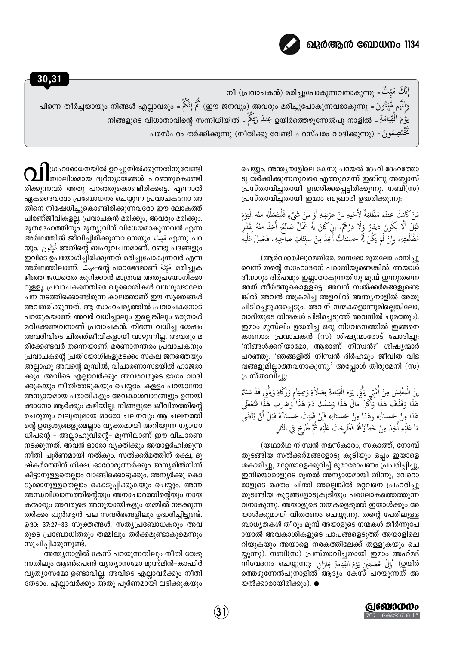

إِنَّكَ مَيِّتٌ = നീ (പ്രവാചകൻ) മരിച്ചുപോകുന്നവനാകുന്നു يَوْمَ الْقِيَامَةِ = ഉയിർത്തെഴുന്നേൽപു നാളിൽ عِندَ رَبّكُمْ = നിങ്ങളുടെ വിധാതാവിന്റെ സന്നിധിയിൽ = خَتَصِمُو نَ = (നീതിക്കു വേണ്ടി പരസ്പരം വാദിക്കുന്നു) حَخْتَصِمُو نَ

> ചെയ്യും. അന്ത്യനാളിലെ കേസു പറയൽ ദേഹി ദേഹത്തോ ടു തർക്കിക്കുന്നതുവരെ എത്തുമെന്ന് ഇബ്നു അബ്ബാസ് പ്രസ്താവിച്ചതായി ഉദ്ധരിക്കപ്പെട്ടിരിക്കുന്നു. നബി(സ) പ്രസ്താവിച്ചതായി ഇമാം ബുഖാരി ഉദ്ധരിക്കുന്നു:

> مَنْ كَانتْ عِنْدَه مَظْلَمَةٌ لأَخِيهِ مِنْ عِرْضِهِ أَوْ مِنْ شَيْءٍ فَلْيتَحَلَّلْهِ مِنْه الْيَوْمَ قَبْلَ أَلَّا يَكُونَ دِينَارٌ وَلَا دِرْهُمْ، إنْ كَانَ لَهُ عَمَلٌ صَالِحٌ أُخِذَ مِنْهُ بِقَدْرِ مَظْلَمتِهِ، وانْ لَمْ يَكُنْ لَهُ حسَنَاتٌ أُخِذَ مِنْ سبِّئَاتِ صاحِبِهِ، فَحُمِلَ عَلَيْهِ

> (ആർക്കെങ്കിലുമെതിരെ, മാനമോ മുതലോ ഹനിച്ചു വെന്ന് തന്റെ സഹോദരന് പരാതിയുണ്ടെങ്കിൽ, അയാൾ ദീനാറും ദിർഹമും ഇല്ലാതാകുന്നതിനു മുമ്പ് ഇന്നുതന്നെ അത് തീർത്തുകൊള്ളട്ടെ. അവന് സൽക്കർമങ്ങളുണ്ടെ ങ്കിൽ അവൻ അക്രമിച്ച അളവിൽ അന്ത്യനാളിൽ അതു പിടിച്ചെടുക്കപ്പെടും. അവന് നന്മകളൊന്നുമില്ലെങ്കിലോ, വാദിയുടെ തിന്മകൾ പിടിച്ചെടുത്ത് അവനിൽ ചുമത്തും). ഇമാം മുസ്ലിം ഉദ്ധരിച്ച ഒരു നിവേദനത്തിൽ ഇങ്ങനെ കാണാം: പ്രവാചകൻ (സ) ശിഷ്യന്മാരോട് ചോദിച്ചു: 'നിങ്ങൾക്കറിയാമോ, ആരാണ് നിസ്വൻ?' ശിഷ്യന്മാർ പറഞ്ഞു: 'ഞങ്ങളിൽ നിസ്വൻ ദിർഹമും ജീവിത വിഭ വങ്ങളുമില്ലാത്തവനാകുന്നു.' അപ്പോൾ തിരുമേനി (സ) പ്രസ്താവിച്ചു:

> إِنَّ الْمُفْلِسَ مِنْ أُمَّتِي يَأْتِي يَؤمَ الْقِيَامَةِ بِصَلاَةٍ وَصِيَامٍ وَزَكَاةٍ وَيَأْتِي قَدْ شتَمَ هَذَا وَقَذَفَ هَذَا وَأَكَلَ مَالَ هَذَا وَسَفَكَ دَمَ هَذَا وَضَرَبَ هَذَا فَيُعْطَى هَذَا مِنْ حَسـَنَاتِهِ وَهَذَا مِنْ حَسـَنَاتِهِ فَإِنْ فَنِيَتْ حَسـَنَاتُهُ قَبْلَ أَنْ يُقْضَى مَا عَلَيْهِ أُخِذَ مِنْ خَطَايَاهُمْ فَطُرِحَتْ عَلَيْهِ ثُمَّ طُرحَ فِي النَّارِ

> (യഥാർഥ നിസ്വൻ നമസ്കാരം, സകാത്ത്, നോമ്പ് തുടങ്ങിയ സൽക്കർമങ്ങളോടു കൂടിയും ഒപ്പം ഇയാളെ ശകാരിച്ചു, മറ്റേയാളെക്കുറിച്ച് ദുരാരോപണം പ്രചരിപ്പിച്ചു, ഇനിയൊരാളുടെ മുതൽ അന്യായമായി തിന്നു, വേറൊ രാളുടെ രക്തം ചിന്തി അല്ലെങ്കിൽ മറ്റവനെ പ്രഹരിച്ചു തുടങ്ങിയ കുറ്റങ്ങളോടുകൂടിയും പരലോകത്തെത്തുന്ന വനാകുന്നു. അയാളുടെ നന്മകളെടുത്ത് ഇയാൾക്കും അ യാൾക്കുമായി വിതരണം ചെയ്യുന്നു. തന്റെ പേരിലുള്ള ബാധ്യതകൾ തീരും മുമ്പ് അയാളുടെ നന്മകൾ തീർന്നുപേ ായാൽ അവകാശികളുടെ പാപങ്ങളെടുത്ത് അയാളിലെ റിയുകയും അയാളെ നരകത്തിലേക്ക് തള്ളുകയും ചെ യ്യുന്നു). നബി(സ) പ്രസ്താവിച്ചതായി ഇമാം അഹ്മദ് തിവേദനം ചെയ്യുന്നു: أَوَّلُ خَصْمَيْنِ يَوْمَ الْقِيَامَةِ جَارَانِ $\eta$  (ഇയിർ ത്തെഴുന്നേൽപുനാളിൽ ആദ്യം കേസ് പറയുന്നത് അ യൽക്കാരായിരിക്കും). ●

ๅๅതഹാരാധനയിൽ ഉറച്ചുനിൽക്കുന്നതിനുവേണ്ടി<br>ๅ ബാലിശമായ ദുർന്യായങ്ങൾ പറഞ്ഞുകൊണ്ടി രിക്കുന്നവർ അതു പറഞ്ഞുകൊണ്ടിരിക്കട്ടെ. എന്നാൽ ഏകദൈവത്വം പ്രബോധനം ചെയ്യുന്ന പ്രവാചകനോ അ തിനെ നിഷേധിച്ചുകൊണ്ടിരിക്കുന്നവരോ ഈ ലോകത്ത് ചിരഞ്ജീവികളല്ല. പ്രവാചകൻ മരിക്കും, അവരും മരിക്കും. മൃതദേഹത്തിനും മൃത്യുവിന് വിധേയമാകുന്നവൻ എന്ന അർഥത്തിൽ ജീവിച്ചിരിക്കുന്നവനെയും مَيّت എന്നു പറ യും. مَّيْتُون അതിന്റെ ബഹുവചനമാണ്. രണ്ടു പദങ്ങളും ഇവിടെ ഉപയോഗിച്ചിരിക്കുന്നത് മരിച്ചുപോകുന്നവർ എന്ന അർഥത്തിലാണ്. سَبَّة -ഗെർ പാഠഭേദമാണ് سَبَّة - മരിച്ചുക ഴിഞ്ഞ ജഡത്തെ കുറിക്കാൻ മാത്രമേ അതുപയോഗിക്കാ റുള്ളൂ. പ്രവാചകനെതിരെ ഖുറൈശികൾ വധഗൂഢാലോ ചന നടത്തിക്കൊണ്ടിരുന്ന കാലത്താണ് ഈ സൂക്തങ്ങൾ അവതരിക്കുന്നത്. ആ സാഹചര്യത്തിൽ പ്രവാചകനോട് പറയുകയാണ്: അവർ വധിച്ചാലും ഇല്ലെങ്കിലും ഒരുനാൾ മരിക്കേണ്ടവനാണ് പ്രവാചകൻ. നിന്നെ വധിച്ച ശേഷം അവരിവിടെ ചിരഞ്ജീവികളായി വാഴുന്നില്ല. അവരും മ രിക്കേണ്ടവർ തന്നെയാണ്. മരണാനന്തരം പ്രവാചകനും പ്രവാചകന്റെ പ്രതിയോഗികളുമടക്കം സകല ജനത്തെയും അല്ലാഹു അവന്റെ മുമ്പിൽ, വിചാരണാസഭയിൽ ഹാജരാ ക്കും. അവിടെ എല്ലാവർക്കും അവരവരുടെ ഭാഗം വാദി ക്കുകയും നീതിതേടുകയും ചെയ്യാം. കള്ളം പറയാനോ അന്യായമായ പരാതികളും അവകാശവാദങ്ങളും ഉന്നയി ക്കാനോ ആർക്കും കഴിയില്ല. നിങ്ങളുടെ ജീവിതത്തിന്റെ ചെറുതും വലുതുമായ ഓരോ ചലനവും ആ ചലനത്തി ന്റെ ഉദ്ദേശ്യങ്ങളുമെല്ലാം വ്യക്തമായി അറിയുന്ന ന്യായാ ധിപന്റെ - അല്ലാഹുവിന്റെ- മുന്നിലാണ് ഈ വിചാരണ നടക്കുന്നത്. അവൻ ഓരോ വ്യക്തിക്കും അയാളർഹിക്കുന്ന നീതി പൂർണമായി നൽകും. സൽക്കർമത്തിന് രക്ഷ, ദു ഷ്കർമത്തിന് ശിക്ഷ. ഓരോരുത്തർക്കും അന്യരിൽനിന്ന് കിട്ടാനുള്ളതെല്ലാം വാങ്ങിക്കൊടുക്കും. അന്യർക്കു കൊ ടുക്കാനുള്ളതെല്ലാം കൊടുപ്പിക്കുകയും ചെയ്യും. അന്ന് അന്ധവിശ്വാസത്തിന്റെയും അനാചാരത്തിന്റെയും നായ കന്മാരും അവരുടെ അനുയായികളും തമ്മിൽ നടക്കുന്ന തർക്കം ഖുർആൻ പല സന്ദർഭങ്ങളിലും ഉദ്ധരിച്ചിട്ടുണ്ട്. ഉദാ: 37:27-33 സൂക്തങ്ങൾ. സത്യപ്രബോധകരും അവ രുടെ പ്രബോധിതരും തമ്മിലും തർക്കമുണ്ടാകുമെന്നും സുചിപ്പിക്കുന്നുണ്ട്.

അന്ത്യനാളിൽ കേസ് പറയുന്നതിലും നീതി തേടു ന്നതിലും ആൺപെൺ വ്യത്യാസമോ മുഅ്മിൻ-കാഫിർ വ്യത്യാസമോ ഉണ്ടാവില്ല. അവിടെ എല്ലാവർക്കും നീതി തേടാം. എല്ലാവർക്കും അതു പൂർണമായി ലഭിക്കുകയും